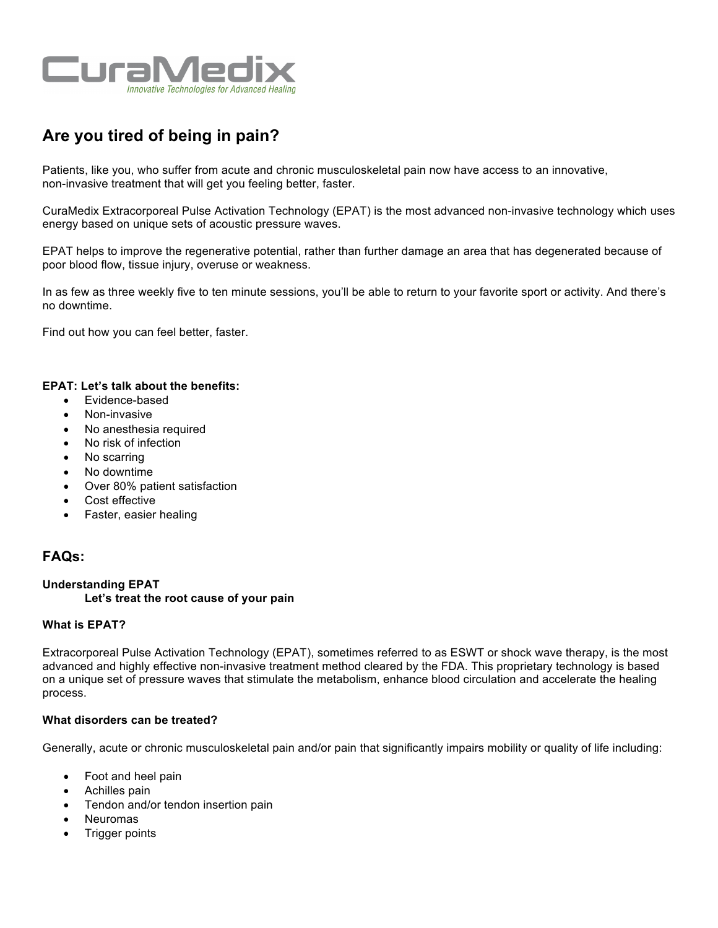

# **Are you tired of being in pain?**

Patients, like you, who suffer from acute and chronic musculoskeletal pain now have access to an innovative, non-invasive treatment that will get you feeling better, faster.

CuraMedix Extracorporeal Pulse Activation Technology (EPAT) is the most advanced non-invasive technology which uses energy based on unique sets of acoustic pressure waves.

EPAT helps to improve the regenerative potential, rather than further damage an area that has degenerated because of poor blood flow, tissue injury, overuse or weakness.

In as few as three weekly five to ten minute sessions, you'll be able to return to your favorite sport or activity. And there's no downtime.

Find out how you can feel better, faster.

## **EPAT: Let's talk about the benefits:**

- Evidence-based
- Non-invasive
- No anesthesia required
- No risk of infection
- No scarring
- No downtime
- Over 80% patient satisfaction
- Cost effective
- Faster, easier healing

## **FAQs:**

## **Understanding EPAT**

## **Let's treat the root cause of your pain**

## **What is EPAT?**

Extracorporeal Pulse Activation Technology (EPAT), sometimes referred to as ESWT or shock wave therapy, is the most advanced and highly effective non-invasive treatment method cleared by the FDA. This proprietary technology is based on a unique set of pressure waves that stimulate the metabolism, enhance blood circulation and accelerate the healing process.

#### **What disorders can be treated?**

Generally, acute or chronic musculoskeletal pain and/or pain that significantly impairs mobility or quality of life including:

- Foot and heel pain
- Achilles pain
- Tendon and/or tendon insertion pain
- **Neuromas**
- **Trigger points**